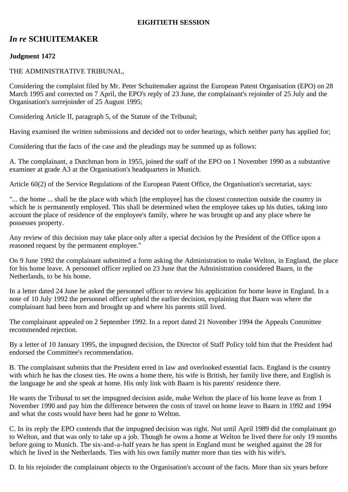### **EIGHTIETH SESSION**

# *In re* **SCHUITEMAKER**

## **Judgment 1472**

### THE ADMINISTRATIVE TRIBUNAL,

Considering the complaint filed by Mr. Peter Schuitemaker against the European Patent Organisation (EPO) on 28 March 1995 and corrected on 7 April, the EPO's reply of 23 June, the complainant's rejoinder of 25 July and the Organisation's surrejoinder of 25 August 1995;

Considering Article II, paragraph 5, of the Statute of the Tribunal;

Having examined the written submissions and decided not to order hearings, which neither party has applied for;

Considering that the facts of the case and the pleadings may be summed up as follows:

A. The complainant, a Dutchman born in 1955, joined the staff of the EPO on 1 November 1990 as a substantive examiner at grade A3 at the Organisation's headquarters in Munich.

Article 60(2) of the Service Regulations of the European Patent Office, the Organisation's secretariat, says:

"... the home ... shall be the place with which [the employee] has the closest connection outside the country in which he is permanently employed. This shall be determined when the employee takes up his duties, taking into account the place of residence of the employee's family, where he was brought up and any place where he possesses property.

Any review of this decision may take place only after a special decision by the President of the Office upon a reasoned request by the permanent employee."

On 9 June 1992 the complainant submitted a form asking the Administration to make Welton, in England, the place for his home leave. A personnel officer replied on 23 June that the Administration considered Baarn, in the Netherlands, to be his home.

In a letter dated 24 June he asked the personnel officer to review his application for home leave in England. In a note of 10 July 1992 the personnel officer upheld the earlier decision, explaining that Baarn was where the complainant had been born and brought up and where his parents still lived.

The complainant appealed on 2 September 1992. In a report dated 21 November 1994 the Appeals Committee recommended rejection.

By a letter of 10 January 1995, the impugned decision, the Director of Staff Policy told him that the President had endorsed the Committee's recommendation.

B. The complainant submits that the President erred in law and overlooked essential facts. England is the country with which he has the closest ties. He owns a home there, his wife is British, her family live there, and English is the language he and she speak at home. His only link with Baarn is his parents' residence there.

He wants the Tribunal to set the impugned decision aside, make Welton the place of his home leave as from 1 November 1990 and pay him the difference between the costs of travel on home leave to Baarn in 1992 and 1994 and what the costs would have been had he gone to Welton.

C. In its reply the EPO contends that the impugned decision was right. Not until April 1989 did the complainant go to Welton, and that was only to take up a job. Though he owns a home at Welton he lived there for only 19 months before going to Munich. The six-and-a-half years he has spent in England must be weighed against the 28 for which he lived in the Netherlands. Ties with his own family matter more than ties with his wife's.

D. In his rejoinder the complainant objects to the Organisation's account of the facts. More than six years before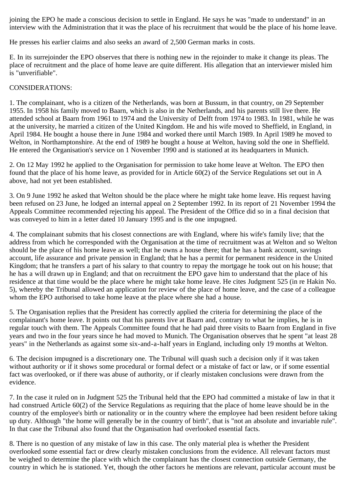joining the EPO he made a conscious decision to settle in England. He says he was "made to understand" in an interview with the Administration that it was the place of his recruitment that would be the place of his home leave.

He presses his earlier claims and also seeks an award of 2,500 German marks in costs.

E. In its surrejoinder the EPO observes that there is nothing new in the rejoinder to make it change its pleas. The place of recruitment and the place of home leave are quite different. His allegation that an interviewer misled him is "unverifiable".

### CONSIDERATIONS:

1. The complainant, who is a citizen of the Netherlands, was born at Bussum, in that country, on 29 September 1955. In 1958 his family moved to Baarn, which is also in the Netherlands, and his parents still live there. He attended school at Baarn from 1961 to 1974 and the University of Delft from 1974 to 1983. In 1981, while he was at the university, he married a citizen of the United Kingdom. He and his wife moved to Sheffield, in England, in April 1984. He bought a house there in June 1984 and worked there until March 1989. In April 1989 he moved to Welton, in Northamptonshire. At the end of 1989 he bought a house at Welton, having sold the one in Sheffield. He entered the Organisation's service on 1 November 1990 and is stationed at its headquarters in Munich.

2. On 12 May 1992 he applied to the Organisation for permission to take home leave at Welton. The EPO then found that the place of his home leave, as provided for in Article 60(2) of the Service Regulations set out in A above, had not yet been established.

3. On 9 June 1992 he asked that Welton should be the place where he might take home leave. His request having been refused on 23 June, he lodged an internal appeal on 2 September 1992. In its report of 21 November 1994 the Appeals Committee recommended rejecting his appeal. The President of the Office did so in a final decision that was conveyed to him in a letter dated 10 January 1995 and is the one impugned.

4. The complainant submits that his closest connections are with England, where his wife's family live; that the address from which he corresponded with the Organisation at the time of recruitment was at Welton and so Welton should be the place of his home leave as well; that he owns a house there; that he has a bank account, savings account, life assurance and private pension in England; that he has a permit for permanent residence in the United Kingdom; that he transfers a part of his salary to that country to repay the mortgage he took out on his house; that he has a will drawn up in England; and that on recruitment the EPO gave him to understand that the place of his residence at that time would be the place where he might take home leave. He cites Judgment 525 (in re Hakin No. 5), whereby the Tribunal allowed an application for review of the place of home leave, and the case of a colleague whom the EPO authorised to take home leave at the place where she had a house.

5. The Organisation replies that the President has correctly applied the criteria for determining the place of the complainant's home leave. It points out that his parents live at Baarn and, contrary to what he implies, he is in regular touch with them. The Appeals Committee found that he had paid three visits to Baarn from England in five years and two in the four years since he had moved to Munich. The Organisation observes that he spent "at least 28 years" in the Netherlands as against some six-and-a-half years in England, including only 19 months at Welton.

6. The decision impugned is a discretionary one. The Tribunal will quash such a decision only if it was taken without authority or if it shows some procedural or formal defect or a mistake of fact or law, or if some essential fact was overlooked, or if there was abuse of authority, or if clearly mistaken conclusions were drawn from the evidence.

7. In the case it ruled on in Judgment 525 the Tribunal held that the EPO had committed a mistake of law in that it had construed Article 60(2) of the Service Regulations as requiring that the place of home leave should be in the country of the employee's birth or nationality or in the country where the employee had been resident before taking up duty. Although "the home will generally be in the country of birth", that is "not an absolute and invariable rule". In that case the Tribunal also found that the Organisation had overlooked essential facts.

8. There is no question of any mistake of law in this case. The only material plea is whether the President overlooked some essential fact or drew clearly mistaken conclusions from the evidence. All relevant factors must be weighed to determine the place with which the complainant has the closest connection outside Germany, the country in which he is stationed. Yet, though the other factors he mentions are relevant, particular account must be